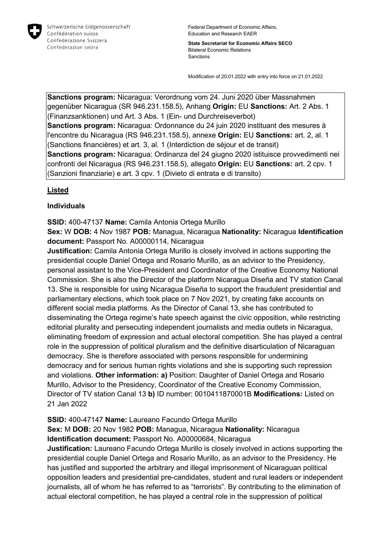

**State Secretariat for Economic Affairs SECO** Bilateral Economic Relations Sanctions

Modification of 20.01.2022 with entry into force on 21.01.2022

**Sanctions program:** Nicaragua: Verordnung vom 24. Juni 2020 über Massnahmen gegenüber Nicaragua (SR 946.231.158.5), Anhang **Origin:** EU **Sanctions:** Art. 2 Abs. 1 (Finanzsanktionen) und Art. 3 Abs. 1 (Ein- und Durchreiseverbot) **Sanctions program:** Nicaragua: Ordonnance du 24 juin 2020 instituant des mesures à l'encontre du Nicaragua (RS 946.231.158.5), annexe **Origin:** EU **Sanctions:** art. 2, al. 1 (Sanctions financières) et art. 3, al. 1 (Interdiction de séjour et de transit) **Sanctions program:** Nicaragua: Ordinanza del 24 giugno 2020 istituisce provvedimenti nei confronti del Nicaragua (RS 946.231.158.5), allegato **Origin:** EU **Sanctions:** art. 2 cpv. 1 (Sanzioni finanziarie) e art. 3 cpv. 1 (Divieto di entrata e di transito)

## **Listed**

## **Individuals**

**SSID:** 400-47137 **Name:** Camila Antonia Ortega Murillo

**Sex:** W **DOB:** 4 Nov 1987 **POB:** Managua, Nicaragua **Nationality:** Nicaragua **Identification document:** Passport No. A00000114, Nicaragua

**Justification:** Camila Antonia Ortega Murillo is closely involved in actions supporting the presidential couple Daniel Ortega and Rosario Murillo, as an advisor to the Presidency, personal assistant to the Vice-President and Coordinator of the Creative Economy National Commission. She is also the Director of the platform Nicaragua Diseña and TV station Canal 13. She is responsible for using Nicaragua Diseña to support the fraudulent presidential and parliamentary elections, which took place on 7 Nov 2021, by creating fake accounts on different social media platforms. As the Director of Canal 13, she has contributed to disseminating the Ortega regime's hate speech against the civic opposition, while restricting editorial plurality and persecuting independent journalists and media outlets in Nicaragua, eliminating freedom of expression and actual electoral competition. She has played a central role in the suppression of political pluralism and the definitive disarticulation of Nicaraguan democracy. She is therefore associated with persons responsible for undermining democracy and for serious human rights violations and she is supporting such repression and violations. **Other information: a)** Position: Daughter of Daniel Ortega and Rosario Murillo, Advisor to the Presidency, Coordinator of the Creative Economy Commission, Director of TV station Canal 13 **b)** ID number: 0010411870001B **Modifications:** Listed on 21 Jan 2022

# **SSID:** 400-47147 **Name:** Laureano Facundo Ortega Murillo

**Sex:** M **DOB:** 20 Nov 1982 **POB:** Managua, Nicaragua **Nationality:** Nicaragua **Identification document:** Passport No. A00000684, Nicaragua

**Justification:** Laureano Facundo Ortega Murillo is closely involved in actions supporting the presidential couple Daniel Ortega and Rosario Murillo, as an advisor to the Presidency. He has justified and supported the arbitrary and illegal imprisonment of Nicaraguan political opposition leaders and presidential pre-candidates, student and rural leaders or independent journalists, all of whom he has referred to as "terrorists". By contributing to the elimination of actual electoral competition, he has played a central role in the suppression of political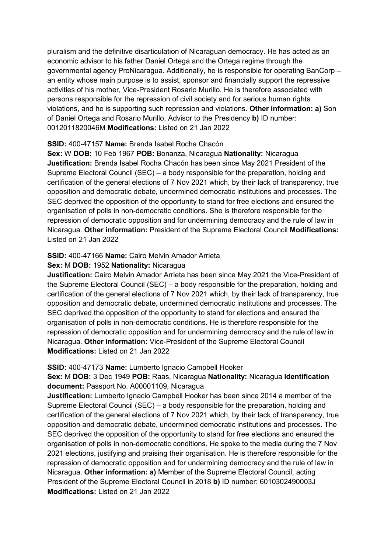pluralism and the definitive disarticulation of Nicaraguan democracy. He has acted as an economic advisor to his father Daniel Ortega and the Ortega regime through the governmental agency ProNicaragua. Additionally, he is responsible for operating BanCorp – an entity whose main purpose is to assist, sponsor and financially support the repressive activities of his mother, Vice-President Rosario Murillo. He is therefore associated with persons responsible for the repression of civil society and for serious human rights violations, and he is supporting such repression and violations. **Other information: a)** Son of Daniel Ortega and Rosario Murillo, Advisor to the Presidency **b)** ID number: 0012011820046M **Modifications:** Listed on 21 Jan 2022

### **SSID:** 400-47157 **Name:** Brenda Isabel Rocha Chacón

**Sex:** W **DOB:** 10 Feb 1967 **POB:** Bonanza, Nicaragua **Nationality:** Nicaragua **Justification:** Brenda Isabel Rocha Chacón has been since May 2021 President of the Supreme Electoral Council (SEC) – a body responsible for the preparation, holding and certification of the general elections of 7 Nov 2021 which, by their lack of transparency, true opposition and democratic debate, undermined democratic institutions and processes. The SEC deprived the opposition of the opportunity to stand for free elections and ensured the organisation of polls in non-democratic conditions. She is therefore responsible for the repression of democratic opposition and for undermining democracy and the rule of law in Nicaragua. **Other information:** President of the Supreme Electoral Council **Modifications:**  Listed on 21 Jan 2022

### **SSID:** 400-47166 **Name:** Cairo Melvin Amador Arrieta

### **Sex:** M **DOB:** 1952 **Nationality:** Nicaragua

**Justification:** Cairo Melvin Amador Arrieta has been since May 2021 the Vice-President of the Supreme Electoral Council (SEC) – a body responsible for the preparation, holding and certification of the general elections of 7 Nov 2021 which, by their lack of transparency, true opposition and democratic debate, undermined democratic institutions and processes. The SEC deprived the opposition of the opportunity to stand for elections and ensured the organisation of polls in non-democratic conditions. He is therefore responsible for the repression of democratic opposition and for undermining democracy and the rule of law in Nicaragua. **Other information:** Vice-President of the Supreme Electoral Council **Modifications:** Listed on 21 Jan 2022

#### **SSID:** 400-47173 **Name:** Lumberto Ignacio Campbell Hooker

### **Sex:** M **DOB:** 3 Dec 1949 **POB:** Raas, Nicaragua **Nationality:** Nicaragua **Identification document:** Passport No. A00001109, Nicaragua

**Justification:** Lumberto Ignacio Campbell Hooker has been since 2014 a member of the Supreme Electoral Council (SEC) – a body responsible for the preparation, holding and certification of the general elections of 7 Nov 2021 which, by their lack of transparency, true opposition and democratic debate, undermined democratic institutions and processes. The SEC deprived the opposition of the opportunity to stand for free elections and ensured the organisation of polls in non-democratic conditions. He spoke to the media during the 7 Nov 2021 elections, justifying and praising their organisation. He is therefore responsible for the repression of democratic opposition and for undermining democracy and the rule of law in Nicaragua. **Other information: a)** Member of the Supreme Electoral Council, acting President of the Supreme Electoral Council in 2018 **b)** ID number: 6010302490003J **Modifications:** Listed on 21 Jan 2022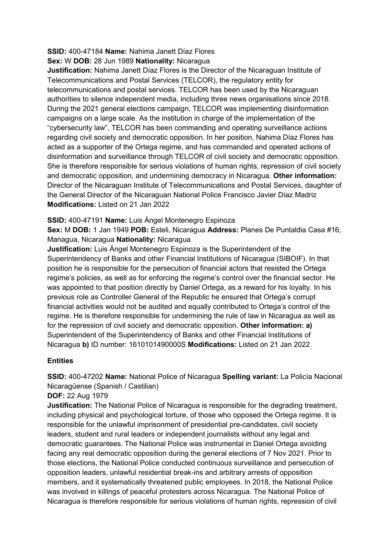# **SSID:** 400-47184 **Name:** Nahima Janett Díaz Flores

# **Sex:** W **DOB:** 28 Jun 1989 **Nationality:** Nicaragua

**Justification:** Nahima Janett Díaz Flores is the Director of the Nicaraguan Institute of Telecommunications and Postal Services (TELCOR), the regulatory entity for telecommunications and postal services. TELCOR has been used by the Nicaraguan authorities to silence independent media, including three news organisations since 2018. During the 2021 general elections campaign, TELCOR was implementing disinformation campaigns on a large scale. As the institution in charge of the implementation of the "cybersecurity law", TELCOR has been commanding and operating surveillance actions regarding civil society and democratic opposition. In her position, Nahima Díaz Flores has acted as a supporter of the Ortega regime, and has commanded and operated actions of disinformation and surveillance through TELCOR of civil society and democratic opposition. She is therefore responsible for serious violations of human rights, repression of civil society and democratic opposition, and undermining democracy in Nicaragua. **Other information:** Director of the Nicaraguan Institute of Telecommunications and Postal Services, daughter of the General Director of the Nicaraguan National Police Francisco Javier Díaz Madriz **Modifications:** Listed on 21 Jan 2022

## **SSID:** 400-47191 **Name:** Luis Ángel Montenegro Espinoza

**Sex:** M **DOB:** 1 Jan 1949 **POB:** Esteli, Nicaragua **Address:** Planes De Puntaldia Casa #16, Managua, Nicaragua **Nationality:** Nicaragua

**Justification:** Luis Ángel Montenegro Espinoza is the Superintendent of the Superintendency of Banks and other Financial Institutions of Nicaragua (SIBOIF). In that position he is responsible for the persecution of financial actors that resisted the Ortega regime's policies, as well as for enforcing the regime's control over the financial sector. He was appointed to that position directly by Daniel Ortega, as a reward for his loyalty. In his previous role as Controller General of the Republic he ensured that Ortega's corrupt financial activities would not be audited and equally contributed to Ortega's control of the regime. He is therefore responsible for undermining the rule of law in Nicaragua as well as for the repression of civil society and democratic opposition. **Other information: a)**  Superintendent of the Superintendency of Banks and other Financial Institutions of Nicaragua **b)** ID number: 1610101490000S **Modifications:** Listed on 21 Jan 2022

### **Entities**

**SSID:** 400-47202 **Name:** National Police of Nicaragua **Spelling variant:** La Policía Nacional Nicaragüense (Spanish / Castilian)

**DOF:** 22 Aug 1979

**Justification:** The National Police of Nicaragua is responsible for the degrading treatment, including physical and psychological torture, of those who opposed the Ortega regime. It is responsible for the unlawful imprisonment of presidential pre-candidates, civil society leaders, student and rural leaders or independent journalists without any legal and democratic guarantees. The National Police was instrumental in Daniel Ortega avoiding facing any real democratic opposition during the general elections of 7 Nov 2021. Prior to those elections, the National Police conducted continuous surveillance and persecution of opposition leaders, unlawful residential break-ins and arbitrary arrests of opposition members, and it systematically threatened public employees. In 2018, the National Police was involved in killings of peaceful protesters across Nicaragua. The National Police of Nicaragua is therefore responsible for serious violations of human rights, repression of civil